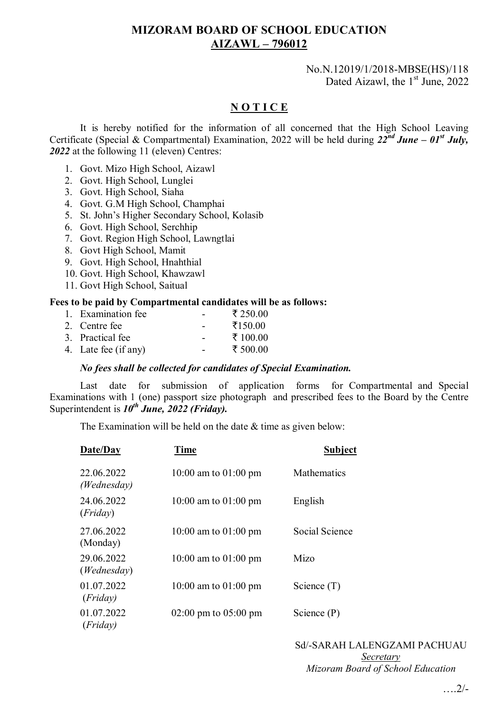## **MIZORAM BOARD OF SCHOOL EDUCATION AIZAWL – 796012**

#### No.N.12019/1/2018-MBSE(HS)/118 Dated Aizawl, the  $1<sup>st</sup>$  June, 2022

### **N O T I C E**

It is hereby notified for the information of all concerned that the High School Leaving Certificate (Special & Compartmental) Examination, 2022 will be held during *22nd June – 01st July, 2022* at the following 11 (eleven) Centres:

- 1. Govt. Mizo High School, Aizawl
- 2. Govt. High School, Lunglei
- 3. Govt. High School, Siaha
- 4. Govt. G.M High School, Champhai
- 5. St. John's Higher Secondary School, Kolasib
- 6. Govt. High School, Serchhip
- 7. Govt. Region High School, Lawngtlai
- 8. Govt High School, Mamit
- 9. Govt. High School, Hnahthial
- 10. Govt. High School, Khawzawl
- 11. Govt High School, Saitual

#### **Fees to be paid by Compartmental candidates will be as follows:**

| 1. Examination fee   | $\overline{\phantom{0}}$ | ₹ 250.00 |
|----------------------|--------------------------|----------|
| 2. Centre fee        | -                        | ₹150.00  |
| 3. Practical fee     |                          | ₹ 100.00 |
| 4. Late fee (if any) |                          | ₹ 500.00 |
|                      |                          |          |

#### *No fees shall be collected for candidates of Special Examination.*

Last date for submission of application forms for Compartmental and Special Examinations with 1 (one) passport size photograph and prescribed fees to the Board by the Centre Superintendent is  $10^{th}$  June, 2022 (Friday).

The Examination will be held on the date  $&$  time as given below:

| Date/Day                    | <b>Time</b>                              | <b>Subject</b> |
|-----------------------------|------------------------------------------|----------------|
| 22.06.2022<br>(Wednesday)   | 10:00 am to $01:00$ pm                   | Mathematics    |
| 24.06.2022<br>(Friday)      | 10:00 am to 01:00 pm                     | English        |
| 27.06.2022<br>(Monday)      | 10:00 am to 01:00 pm                     | Social Science |
| 29.06.2022<br>(We dnes day) | 10:00 am to $01:00$ pm                   | Mizo           |
| 01.07.2022<br>(Friday)      | 10:00 am to 01:00 pm                     | Science $(T)$  |
| 01.07.2022<br>(Friday)      | $02:00 \text{ pm}$ to $05:00 \text{ pm}$ | Science $(P)$  |

# Sd/-SARAH LALENGZAMI PACHUAU *Secretary*

*Mizoram Board of School Education*